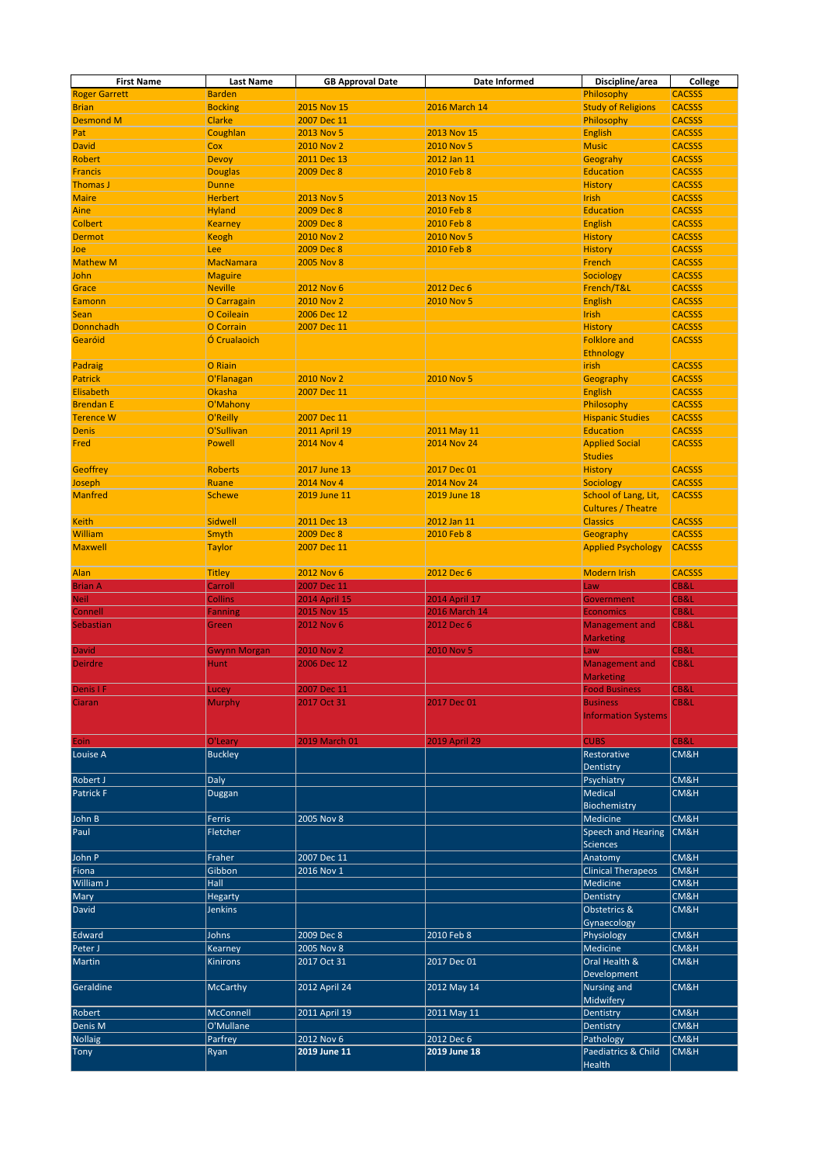| <b>First Name</b>        | <b>Last Name</b>       | <b>GB Approval Date</b> | <b>Date Informed</b> | Discipline/area                   | <b>College</b>                 |
|--------------------------|------------------------|-------------------------|----------------------|-----------------------------------|--------------------------------|
| <b>Roger Garrett</b>     | <b>Barden</b>          |                         |                      | Philosophy                        | <b>CACSSS</b>                  |
| <b>Brian</b>             | <b>Bocking</b>         | 2015 Nov 15             | 2016 March 14        | <b>Study of Religions</b>         | <b>CACSSS</b>                  |
| <b>Desmond M</b>         | <b>Clarke</b>          | 2007 Dec 11             |                      | Philosophy                        | <b>CACSSS</b>                  |
| Pat                      | Coughlan               | 2013 Nov 5              | 2013 Nov 15          | <b>English</b>                    | <b>CACSSS</b>                  |
| <b>David</b>             | Cox                    | <b>2010 Nov 2</b>       | <b>2010 Nov 5</b>    | <b>Music</b>                      | <b>CACSSS</b>                  |
| <b>Robert</b>            | <b>Devoy</b>           | 2011 Dec 13             | 2012 Jan 11          | Geograhy                          | <b>CACSSS</b>                  |
| <b>Francis</b>           | <b>Douglas</b>         | 2009 Dec 8              | 2010 Feb 8           | <b>Education</b>                  | <b>CACSSS</b>                  |
| <b>Thomas J</b>          | <b>Dunne</b>           |                         |                      | <b>History</b>                    | <b>CACSSS</b>                  |
| <b>Maire</b>             | <b>Herbert</b>         | 2013 Nov 5              | 2013 Nov 15          | Irish                             | <b>CACSSS</b>                  |
| Aine                     | <b>Hyland</b>          | 2009 Dec 8              | 2010 Feb 8           | Education                         | <b>CACSSS</b>                  |
| <b>Colbert</b>           | <b>Kearney</b>         | 2009 Dec 8              | 2010 Feb 8           | <b>English</b>                    | <b>CACSSS</b>                  |
| <b>Dermot</b>            | <b>Keogh</b>           | <b>2010 Nov 2</b>       | 2010 Nov 5           | <b>History</b>                    | <b>CACSSS</b>                  |
| Joe                      | <b>Lee</b>             | 2009 Dec 8              | 2010 Feb 8           | <b>History</b>                    | <b>CACSSS</b>                  |
| <b>Mathew M</b>          | <b>MacNamara</b>       | <b>2005 Nov 8</b>       |                      | French                            | <b>CACSSS</b>                  |
| <b>John</b>              | <b>Maguire</b>         |                         |                      | Sociology                         | <b>CACSSS</b>                  |
| Grace                    | <b>Neville</b>         | 2012 Nov 6              | 2012 Dec 6           | French/T&L                        | <b>CACSSS</b>                  |
| Eamonn                   | O Carragain            | <b>2010 Nov 2</b>       | 2010 Nov 5           | <b>English</b>                    | <b>CACSSS</b>                  |
| <b>Sean</b>              | O Coileain             | 2006 Dec 12             |                      | <b>Irish</b>                      | <b>CACSSS</b>                  |
| <b>Donnchadh</b>         | O Corrain              | 2007 Dec 11             |                      | <b>History</b>                    | <b>CACSSS</b>                  |
| Gearóid                  | Ó Crualaoich           |                         |                      | <b>Folklore and</b>               | <b>CACSSS</b>                  |
|                          |                        |                         |                      | <b>Ethnology</b>                  |                                |
| Padraig                  | O Riain                |                         |                      | <b>lirish</b>                     | <b>CACSSS</b>                  |
| <b>Patrick</b>           | O'Flanagan             | <b>2010 Nov 2</b>       | 2010 Nov 5           | Geography                         | <b>CACSSS</b>                  |
| Elisabeth                | <b>Okasha</b>          | 2007 Dec 11             |                      | <b>English</b>                    | <b>CACSSS</b>                  |
| <b>Brendan E</b>         | O'Mahony               |                         |                      | Philosophy                        | <b>CACSSS</b>                  |
| <b>Terence W</b>         | O'Reilly               | 2007 Dec 11             |                      | <b>Hispanic Studies</b>           | <b>CACSSS</b>                  |
| <b>Denis</b>             | O'Sullivan             | <b>2011 April 19</b>    | 2011 May 11          | Education                         | <b>CACSSS</b>                  |
| Fred                     | <b>Powell</b>          | <b>2014 Nov 4</b>       | <b>2014 Nov 24</b>   | <b>Applied Social</b>             | <b>CACSSS</b>                  |
|                          |                        |                         |                      | <b>Studies</b>                    |                                |
| <b>Geoffrey</b>          | <b>Roberts</b>         | 2017 June 13            | 2017 Dec 01          |                                   | <b>CACSSS</b>                  |
|                          |                        | <b>2014 Nov 4</b>       | <b>2014 Nov 24</b>   | <b>History</b>                    |                                |
| Joseph<br><b>Manfred</b> | Ruane<br><b>Schewe</b> | 2019 June 11            | <b>2019 June 18</b>  | Sociology<br>School of Lang, Lit, | <b>CACSSS</b><br><b>CACSSS</b> |
|                          |                        |                         |                      |                                   |                                |
| <b>Keith</b>             | <b>Sidwell</b>         | 2011 Dec 13             | 2012 Jan 11          | <b>Cultures / Theatre</b>         | <b>CACSSS</b>                  |
|                          |                        |                         |                      | <b>Classics</b>                   |                                |
| <b>William</b>           | <b>Smyth</b>           | 2009 Dec 8              | 2010 Feb 8           | Geography                         | <b>CACSSS</b>                  |
| <b>Maxwell</b>           | <b>Taylor</b>          | 2007 Dec 11             |                      | <b>Applied Psychology</b>         | <b>CACSSS</b>                  |
|                          |                        |                         |                      |                                   |                                |
|                          |                        |                         |                      |                                   |                                |
| Alan                     | <b>Titley</b>          | <b>2012 Nov 6</b>       | 2012 Dec 6           | <b>Modern Irish</b>               | <b>CACSSS</b>                  |
| <b>Brian A</b>           | Carroll                | 2007 Dec 11             |                      | Law                               | CB&L                           |
| <b>Neil</b>              | <b>Collins</b>         | <b>2014 April 15</b>    | <b>2014 April 17</b> | Government                        | CB&L                           |
| <b>Connell</b>           | <b>Fanning</b>         | 2015 Nov 15             | <b>2016 March 14</b> | <b>Economics</b>                  | CB&L                           |
| Sebastian                | Green                  | 2012 Nov 6              | 2012 Dec 6           | <b>Management and</b>             | CB&L                           |
|                          |                        |                         |                      | <b>Marketing</b>                  |                                |
| <b>David</b>             | <b>Gwynn Morgan</b>    | <b>2010 Nov 2</b>       | <b>2010 Nov 5</b>    | Law                               | CB&L                           |
| <b>Deirdre</b>           | <b>Hunt</b>            | 2006 Dec 12             |                      | <b>Management and</b>             | CB&L                           |
|                          |                        |                         |                      | <b>Marketing</b>                  |                                |
| <b>Denis IF</b>          | Lucey                  | 2007 Dec 11             |                      | <b>Food Business</b>              | CB&L                           |
| Ciaran                   | <b>Murphy</b>          | 2017 Oct 31             | 2017 Dec 01          | <b>Business</b>                   | CB&L                           |
|                          |                        |                         |                      | <b>Information Systems</b>        |                                |
|                          |                        |                         |                      |                                   |                                |
| Eoin                     | O'Leary                | 2019 March 01           | <b>2019 April 29</b> | <b>CUBS</b>                       | CB&L                           |
| Louise A                 | Buckley                |                         |                      | Restorative                       | CM&H                           |
|                          |                        |                         |                      | Dentistry                         |                                |
| <b>Robert J</b>          | Daly                   |                         |                      | Psychiatry                        | CM&H                           |
| Patrick F                | Duggan                 |                         |                      | Medical                           | CM&H                           |
|                          |                        |                         |                      | Biochemistry                      |                                |
| John B                   | <b>Ferris</b>          | 2005 Nov 8              |                      | Medicine                          | CM&H                           |
| Paul                     | Fletcher               |                         |                      | Speech and Hearing                | CM&H                           |
|                          |                        |                         |                      | Sciences                          |                                |
| John P                   | Fraher                 | 2007 Dec 11             |                      | Anatomy                           | <b>CM&amp;H</b>                |
| Fiona                    | Gibbon                 | 2016 Nov 1              |                      | <b>Clinical Therapeos</b>         | CM&H                           |
| William J                | Hall                   |                         |                      | Medicine                          | CM&H                           |
| Mary                     | Hegarty                |                         |                      | Dentistry                         | CM&H                           |
| David                    | <b>Jenkins</b>         |                         |                      | Obstetrics &                      | CM&H                           |
|                          |                        |                         |                      | Gynaecology                       |                                |
| Edward                   | Johns                  | 2009 Dec 8              | 2010 Feb 8           | Physiology                        | CM&H                           |
| Peter J                  | <b>Kearney</b>         | 2005 Nov 8              |                      | Medicine                          | CM&H                           |
| Martin                   | <b>Kinirons</b>        | 2017 Oct 31             | 2017 Dec 01          | Oral Health &                     | CM&H                           |
|                          |                        |                         |                      | Development                       |                                |
| Geraldine                | McCarthy               | 2012 April 24           | 2012 May 14          | Nursing and                       | CM&H                           |
|                          |                        |                         |                      | Midwifery                         |                                |
| Robert                   | McConnell              | 2011 April 19           | 2011 May 11          | Dentistry                         | CM&H                           |
| Denis M                  | O'Mullane              |                         |                      | Dentistry                         | CM&H                           |
| Nollaig                  | Parfrey                | 2012 Nov 6              | 2012 Dec 6           | Pathology                         | CM&H                           |
| <b>Tony</b>              | Ryan                   | 2019 June 11            | 2019 June 18         | Paediatrics & Child               | CM&H                           |